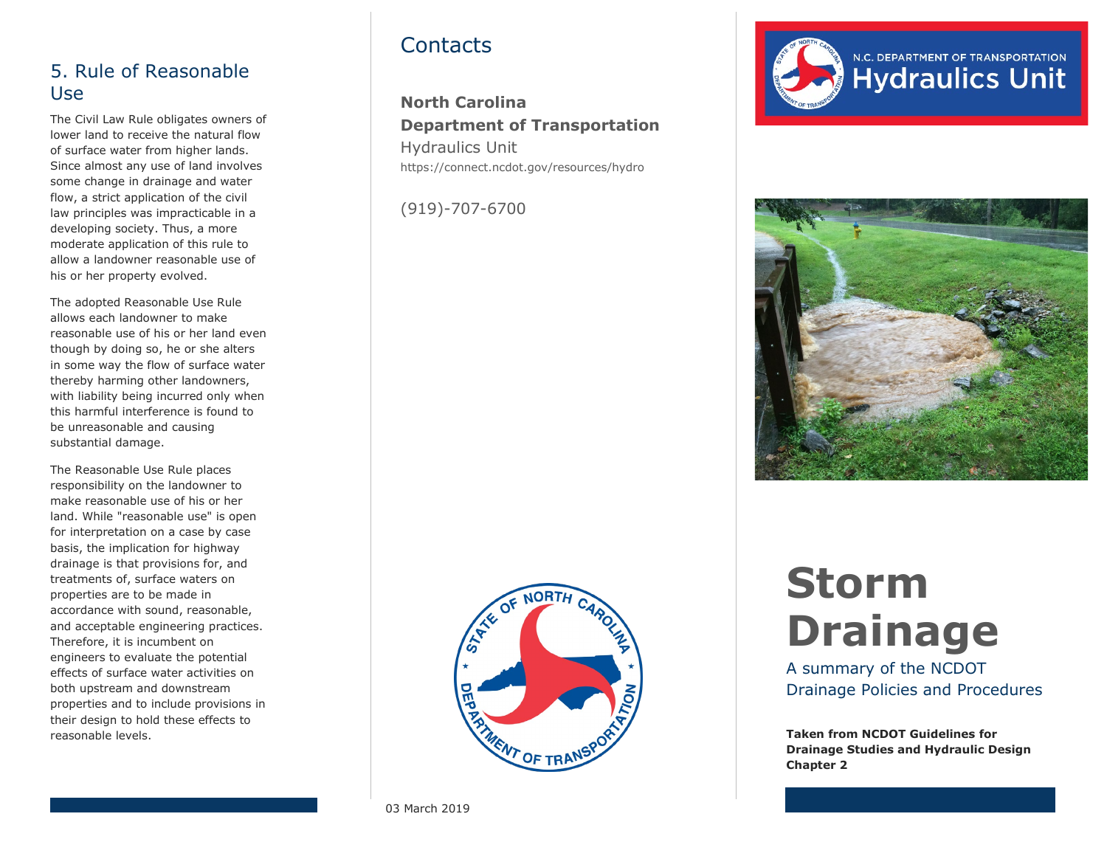#### 5. Rule of Reasonable Use

The Civil Law Rule obligates owners of lower land to receive the natural flow of surface water from higher lands. Since almost any use of land involves some change in drainage and water flow, a strict application of the civil law principles was impracticable in a developing society. Thus, a more moderate application of this rule to allow a landowner reasonable use of his or her property evolved.

The adopted Reasonable Use Rule allows each landowner to make reasonable use of his or her land even though by doing so, he or she alters in some way the flow of surface water thereby harming other landowners, with liability being incurred only when this harmful interference is found to be unreasonable and causing substantial damage.

The Reasonable Use Rule places responsibility on the landowner to make reasonable use of his or her land. While "reasonable use" is open for interpretation on a case by case basis, the implication for highway drainage is that provisions for, and treatments of, surface waters on properties are to be made in accordance with sound, reasonable, and acceptable engineering practices. Therefore, it is incumbent on engineers to evaluate the potential effects of surface water activities on both upstream and downstream properties and to include provisions in their design to hold these effects to reasonable levels.

## **Contacts**

**North Carolina Department of Transportation** Hydraulics Unit https://connect.ncdot.gov/resources/hydro

(919)-707-6700







# **Storm Drainage**

A summary of the NCDOT Drainage Policies and Procedures

**Taken from NCDOT Guidelines for Drainage Studies and Hydraulic Design Chapter 2**